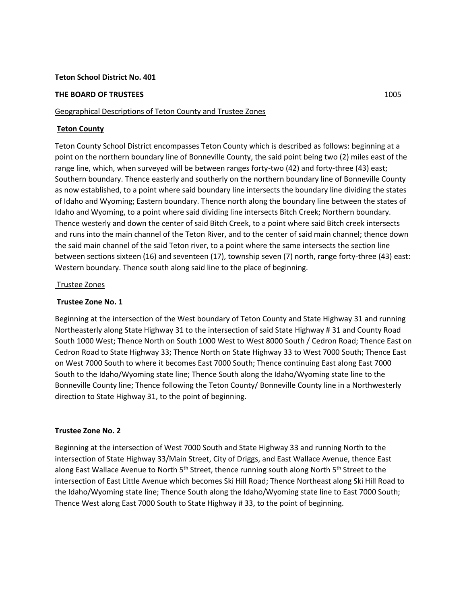### **Teton School District No. 401**

### **THE BOARD OF TRUSTEES** 1005

## Geographical Descriptions of Teton County and Trustee Zones

# **Teton County**

Teton County School District encompasses Teton County which is described as follows: beginning at a point on the northern boundary line of Bonneville County, the said point being two (2) miles east of the range line, which, when surveyed will be between ranges forty-two (42) and forty-three (43) east; Southern boundary. Thence easterly and southerly on the northern boundary line of Bonneville County as now established, to a point where said boundary line intersects the boundary line dividing the states of Idaho and Wyoming; Eastern boundary. Thence north along the boundary line between the states of Idaho and Wyoming, to a point where said dividing line intersects Bitch Creek; Northern boundary. Thence westerly and down the center of said Bitch Creek, to a point where said Bitch creek intersects and runs into the main channel of the Teton River, and to the center of said main channel; thence down the said main channel of the said Teton river, to a point where the same intersects the section line between sections sixteen (16) and seventeen (17), township seven (7) north, range forty-three (43) east: Western boundary. Thence south along said line to the place of beginning.

## Trustee Zones

# **Trustee Zone No. 1**

Beginning at the intersection of the West boundary of Teton County and State Highway 31 and running Northeasterly along State Highway 31 to the intersection of said State Highway # 31 and County Road South 1000 West; Thence North on South 1000 West to West 8000 South / Cedron Road; Thence East on Cedron Road to State Highway 33; Thence North on State Highway 33 to West 7000 South; Thence East on West 7000 South to where it becomes East 7000 South; Thence continuing East along East 7000 South to the Idaho/Wyoming state line; Thence South along the Idaho/Wyoming state line to the Bonneville County line; Thence following the Teton County/ Bonneville County line in a Northwesterly direction to State Highway 31, to the point of beginning.

#### **Trustee Zone No. 2**

Beginning at the intersection of West 7000 South and State Highway 33 and running North to the intersection of State Highway 33/Main Street, City of Driggs, and East Wallace Avenue, thence East along East Wallace Avenue to North 5<sup>th</sup> Street, thence running south along North 5<sup>th</sup> Street to the intersection of East Little Avenue which becomes Ski Hill Road; Thence Northeast along Ski Hill Road to the Idaho/Wyoming state line; Thence South along the Idaho/Wyoming state line to East 7000 South; Thence West along East 7000 South to State Highway # 33, to the point of beginning.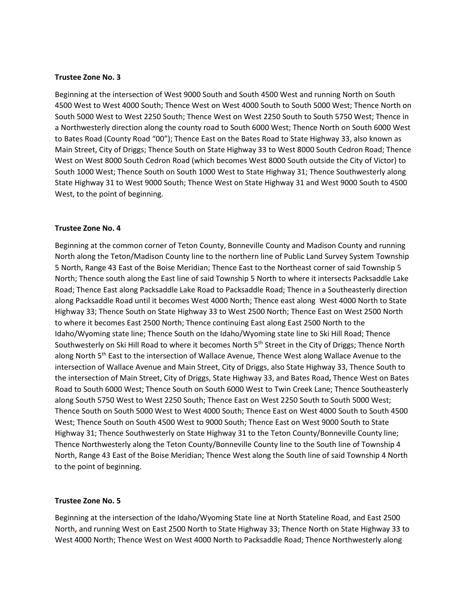### **Trustee Zone No. 3**

Beginning at the intersection of West 9000 South and South 4500 West and running North on South 4500 West to West 4000 South; Thence West on West 4000 South to South 5000 West; Thence North on South 5000 West to West 2250 South; Thence West on West 2250 South to South 5750 West; Thence in a Northwesterly direction along the county road to South 6000 West; Thence North on South 6000 West to Bates Road (County Road "00"); Thence East on the Bates Road to State Highway 33, also known as Main Street, City of Driggs; Thence South on State Highway 33 to West 8000 South Cedron Road; Thence West on West 8000 South Cedron Road (which becomes West 8000 South outside the City of Victor) to South 1000 West; Thence South on South 1000 West to State Highway 31; Thence Southwesterly along State Highway 31 to West 9000 South; Thence West on State Highway 31 and West 9000 South to 4500 West, to the point of beginning.

## **Trustee Zone No. 4**

Beginning at the common corner of Teton County, Bonneville County and Madison County and running North along the Teton/Madison County line to the northern line of Public Land Survey System Township 5 North, Range 43 East of the Boise Meridian; Thence East to the Northeast corner of said Township 5 North; Thence south along the East line of said Township 5 North to where it intersects Packsaddle Lake Road; Thence East along Packsaddle Lake Road to Packsaddle Road; Thence in a Southeasterly direction along Packsaddle Road until it becomes West 4000 North; Thence east along West 4000 North to State Highway 33; Thence South on State Highway 33 to West 2500 North; Thence East on West 2500 North to where it becomes East 2500 North; Thence continuing East along East 2500 North to the Idaho/Wyoming state line; Thence South on the Idaho/Wyoming state line to Ski Hill Road; Thence Southwesterly on Ski Hill Road to where it becomes North 5<sup>th</sup> Street in the City of Driggs; Thence North along North 5<sup>th</sup> East to the intersection of Wallace Avenue, Thence West along Wallace Avenue to the intersection of Wallace Avenue and Main Street, City of Driggs, also State Highway 33, Thence South to the intersection of Main Street, City of Driggs, State Highway 33, and Bates Road**,** Thence West on Bates Road to South 6000 West; Thence South on South 6000 West to Twin Creek Lane; Thence Southeasterly along South 5750 West to West 2250 South; Thence East on West 2250 South to South 5000 West; Thence South on South 5000 West to West 4000 South; Thence East on West 4000 South to South 4500 West; Thence South on South 4500 West to 9000 South; Thence East on West 9000 South to State Highway 31; Thence Southwesterly on State Highway 31 to the Teton County/Bonneville County line; Thence Northwesterly along the Teton County/Bonneville County line to the South line of Township 4 North, Range 43 East of the Boise Meridian; Thence West along the South line of said Township 4 North to the point of beginning.

#### **Trustee Zone No. 5**

Beginning at the intersection of the Idaho/Wyoming State line at North Stateline Road, and East 2500 North**,** and running West on East 2500 North to State Highway 33; Thence North on State Highway 33 to West 4000 North; Thence West on West 4000 North to Packsaddle Road; Thence Northwesterly along